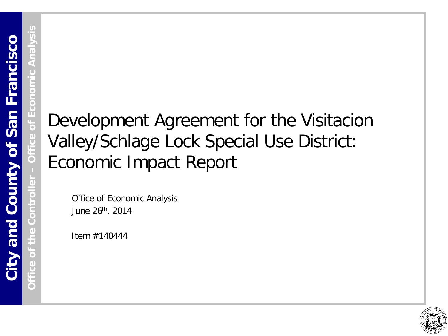**Office of the Controller** 

**Office of Economic Analysis**

# Development Agreement for the Visitacion Valley/Schlage Lock Special Use District: Economic Impact Report

Office of Economic Analysis June 26th, 2014

Item #140444

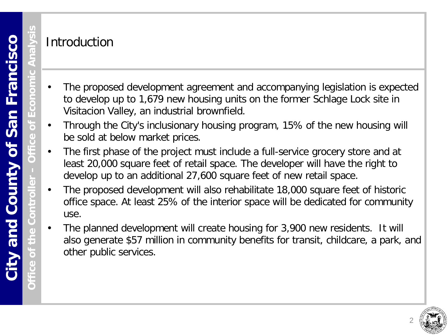**Office of the Controller** 

 $\bigcap$ 

#### Introduction

- The proposed development agreement and accompanying legislation is expected to develop up to 1,679 new housing units on the former Schlage Lock site in Visitacion Valley, an industrial brownfield.
- Through the City's inclusionary housing program, 15% of the new housing will be sold at below market prices.
- The first phase of the project must include a full-service grocery store and at least 20,000 square feet of retail space. The developer will have the right to develop up to an additional 27,600 square feet of new retail space.
- The proposed development will also rehabilitate 18,000 square feet of historic office space. At least 25% of the interior space will be dedicated for community use.
- The planned development will create housing for 3,900 new residents. It will also generate \$57 million in community benefits for transit, childcare, a park, and other public services.

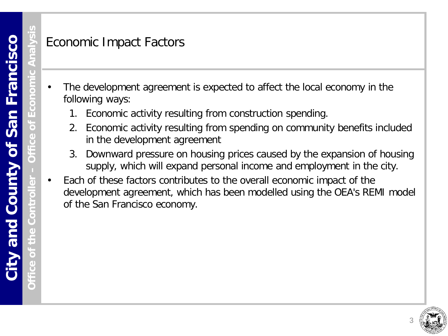**Office of the Controller** 

 $\bullet$ 

#### Economic Impact Factors

- The development agreement is expected to affect the local economy in the following ways:
	- 1. Economic activity resulting from construction spending.
	- 2. Economic activity resulting from spending on community benefits included in the development agreement
	- 3. Downward pressure on housing prices caused by the expansion of housing supply, which will expand personal income and employment in the city.
- Each of these factors contributes to the overall economic impact of the development agreement, which has been modelled using the OEA's REMI model of the San Francisco economy.

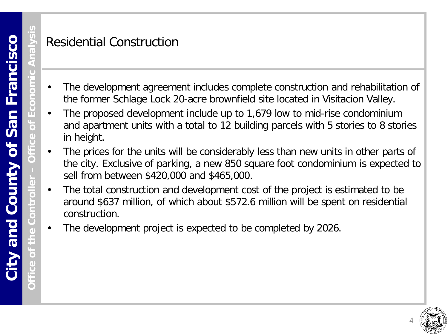**Office of the Controller** 

 $\bullet$ 

# Residential Construction

- The development agreement includes complete construction and rehabilitation of the former Schlage Lock 20-acre brownfield site located in Visitacion Valley.
- The proposed development include up to 1,679 low to mid-rise condominium and apartment units with a total to 12 building parcels with 5 stories to 8 stories in height.
- The prices for the units will be considerably less than new units in other parts of the city. Exclusive of parking, a new 850 square foot condominium is expected to sell from between \$420,000 and \$465,000.
- The total construction and development cost of the project is estimated to be around \$637 million, of which about \$572.6 million will be spent on residential construction.
- The development project is expected to be completed by 2026.

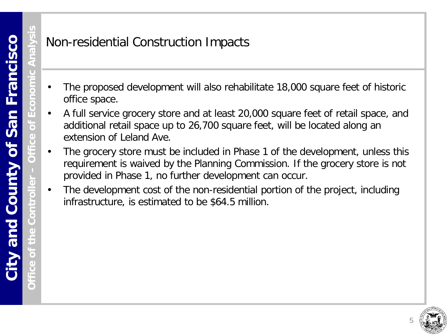#### Non-residential Construction Impacts

- The proposed development will also rehabilitate 18,000 square feet of historic office space.
- A full service grocery store and at least 20,000 square feet of retail space, and additional retail space up to 26,700 square feet, will be located along an extension of Leland Ave.
- The grocery store must be included in Phase 1 of the development, unless this requirement is waived by the Planning Commission. If the grocery store is not provided in Phase 1, no further development can occur.
- The development cost of the non-residential portion of the project, including infrastructure, is estimated to be \$64.5 million.

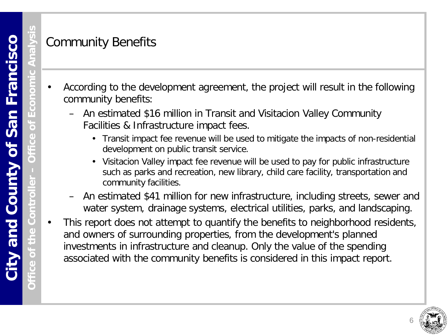$\bullet$ 

# Community Benefits

- According to the development agreement, the project will result in the following community benefits:
	- An estimated \$16 million in Transit and Visitacion Valley Community Facilities & Infrastructure impact fees.
		- Transit impact fee revenue will be used to mitigate the impacts of non-residential development on public transit service.
		- Visitacion Valley impact fee revenue will be used to pay for public infrastructure such as parks and recreation, new library, child care facility, transportation and community facilities.
	- An estimated \$41 million for new infrastructure, including streets, sewer and water system, drainage systems, electrical utilities, parks, and landscaping.
- This report does not attempt to quantify the benefits to neighborhood residents, and owners of surrounding properties, from the development's planned investments in infrastructure and cleanup. Only the value of the spending associated with the community benefits is considered in this impact report.

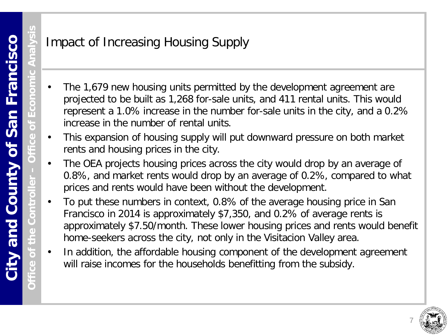**Office of the Controller** 

# Impact of Increasing Housing Supply

- The 1,679 new housing units permitted by the development agreement are projected to be built as 1,268 for-sale units, and 411 rental units. This would represent a 1.0% increase in the number for-sale units in the city, and a 0.2% increase in the number of rental units.
- This expansion of housing supply will put downward pressure on both market rents and housing prices in the city.
- The OEA projects housing prices across the city would drop by an average of 0.8%, and market rents would drop by an average of 0.2%, compared to what prices and rents would have been without the development.
- To put these numbers in context, 0.8% of the average housing price in San Francisco in 2014 is approximately \$7,350, and 0.2% of average rents is approximately \$7.50/month. These lower housing prices and rents would benefit home-seekers across the city, not only in the Visitacion Valley area.
- In addition, the affordable housing component of the development agreement will raise incomes for the households benefitting from the subsidy.

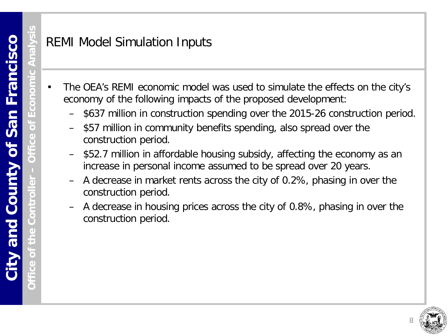# REMI Model Simulation Inputs

- The OEA's REMI economic model was used to simulate the effects on the city's economy of the following impacts of the proposed development:
	- \$637 million in construction spending over the 2015-26 construction period.
	- \$57 million in community benefits spending, also spread over the construction period.
	- \$52.7 million in affordable housing subsidy, affecting the economy as an increase in personal income assumed to be spread over 20 years.
	- A decrease in market rents across the city of 0.2%, phasing in over the construction period.
	- A decrease in housing prices across the city of 0.8%, phasing in over the construction period.

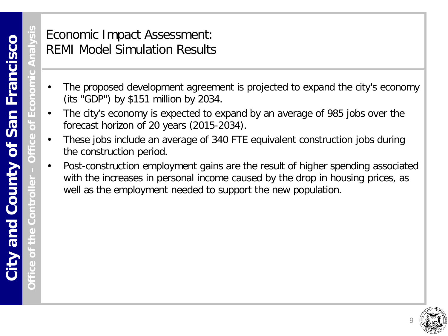Φ

Ò

## Economic Impact Assessment: REMI Model Simulation Results

- The proposed development agreement is projected to expand the city's economy (its "GDP") by \$151 million by 2034.
- The city's economy is expected to expand by an average of 985 jobs over the forecast horizon of 20 years (2015-2034).
- These jobs include an average of 340 FTE equivalent construction jobs during the construction period.
- Post-construction employment gains are the result of higher spending associated with the increases in personal income caused by the drop in housing prices, as well as the employment needed to support the new population.